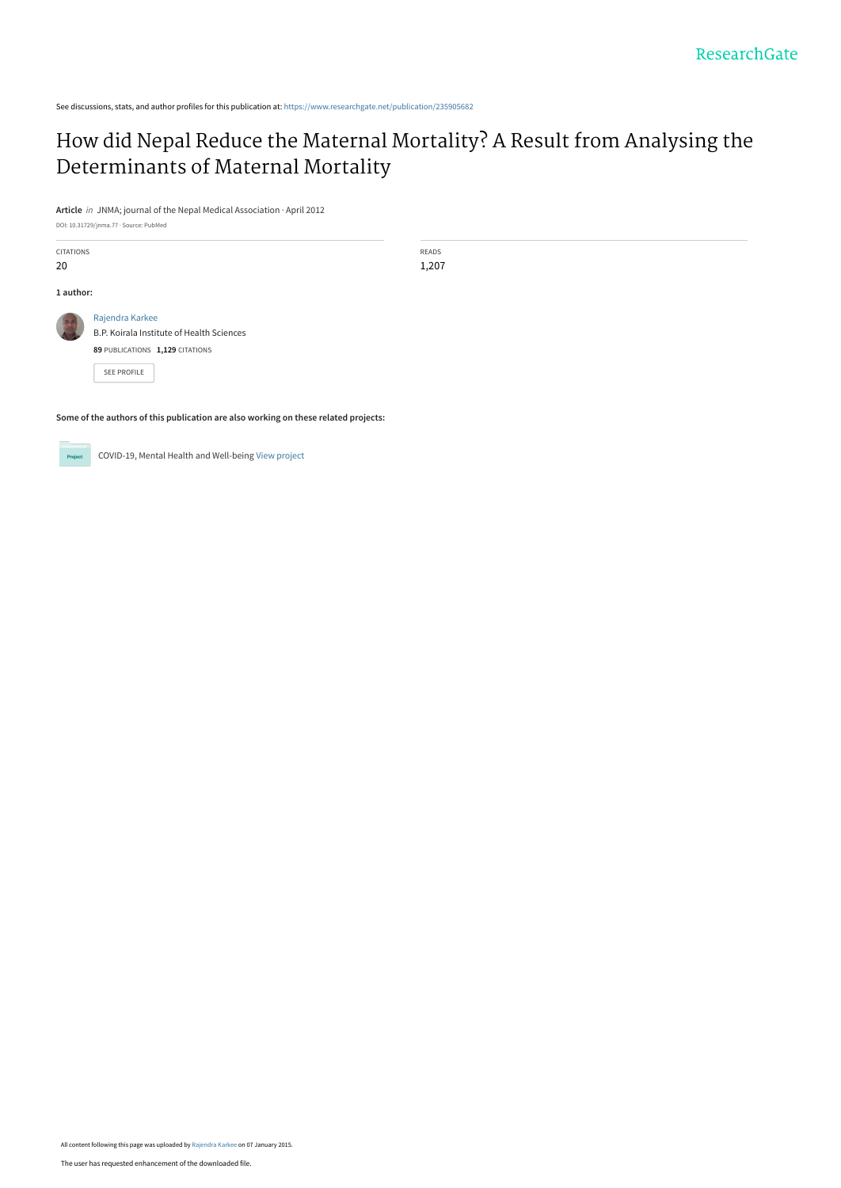See discussions, stats, and author profiles for this publication at: [https://www.researchgate.net/publication/235905682](https://www.researchgate.net/publication/235905682_How_did_Nepal_Reduce_the_Maternal_Mortality_A_Result_from_Analysing_the_Determinants_of_Maternal_Mortality?enrichId=rgreq-811cb59fa3f5643c6b1649dd5fc4ae7d-XXX&enrichSource=Y292ZXJQYWdlOzIzNTkwNTY4MjtBUzoxODI4ODk4MzI1MjE3MjhAMTQyMDYxNTc0MjI2MQ%3D%3D&el=1_x_2&_esc=publicationCoverPdf)

# [How did Nepal Reduce the Maternal Mortality? A Result from Analysing the](https://www.researchgate.net/publication/235905682_How_did_Nepal_Reduce_the_Maternal_Mortality_A_Result_from_Analysing_the_Determinants_of_Maternal_Mortality?enrichId=rgreq-811cb59fa3f5643c6b1649dd5fc4ae7d-XXX&enrichSource=Y292ZXJQYWdlOzIzNTkwNTY4MjtBUzoxODI4ODk4MzI1MjE3MjhAMTQyMDYxNTc0MjI2MQ%3D%3D&el=1_x_3&_esc=publicationCoverPdf) Determinants of Maternal Mortality

**Article** in JNMA; journal of the Nepal Medical Association · April 2012

DOI: 10.31729/jnma.77 · Source: PubMed

CITATIONS 20 READS 1,207 **1 author:** [Rajendra Karkee](https://www.researchgate.net/profile/Rajendra-Karkee?enrichId=rgreq-811cb59fa3f5643c6b1649dd5fc4ae7d-XXX&enrichSource=Y292ZXJQYWdlOzIzNTkwNTY4MjtBUzoxODI4ODk4MzI1MjE3MjhAMTQyMDYxNTc0MjI2MQ%3D%3D&el=1_x_5&_esc=publicationCoverPdf) [B.P. Koirala Institute of Health Sciences](https://www.researchgate.net/institution/BP-Koirala-Institute-of-Health-Sciences?enrichId=rgreq-811cb59fa3f5643c6b1649dd5fc4ae7d-XXX&enrichSource=Y292ZXJQYWdlOzIzNTkwNTY4MjtBUzoxODI4ODk4MzI1MjE3MjhAMTQyMDYxNTc0MjI2MQ%3D%3D&el=1_x_6&_esc=publicationCoverPdf) **89** PUBLICATIONS **1,129** CITATIONS [SEE PROFILE](https://www.researchgate.net/profile/Rajendra-Karkee?enrichId=rgreq-811cb59fa3f5643c6b1649dd5fc4ae7d-XXX&enrichSource=Y292ZXJQYWdlOzIzNTkwNTY4MjtBUzoxODI4ODk4MzI1MjE3MjhAMTQyMDYxNTc0MjI2MQ%3D%3D&el=1_x_7&_esc=publicationCoverPdf)

**Some of the authors of this publication are also working on these related projects:**

COVID-19, Mental Health and Well-being [View project](https://www.researchgate.net/project/COVID-19-Mental-Health-and-Well-being?enrichId=rgreq-811cb59fa3f5643c6b1649dd5fc4ae7d-XXX&enrichSource=Y292ZXJQYWdlOzIzNTkwNTY4MjtBUzoxODI4ODk4MzI1MjE3MjhAMTQyMDYxNTc0MjI2MQ%3D%3D&el=1_x_9&_esc=publicationCoverPdf) **Project**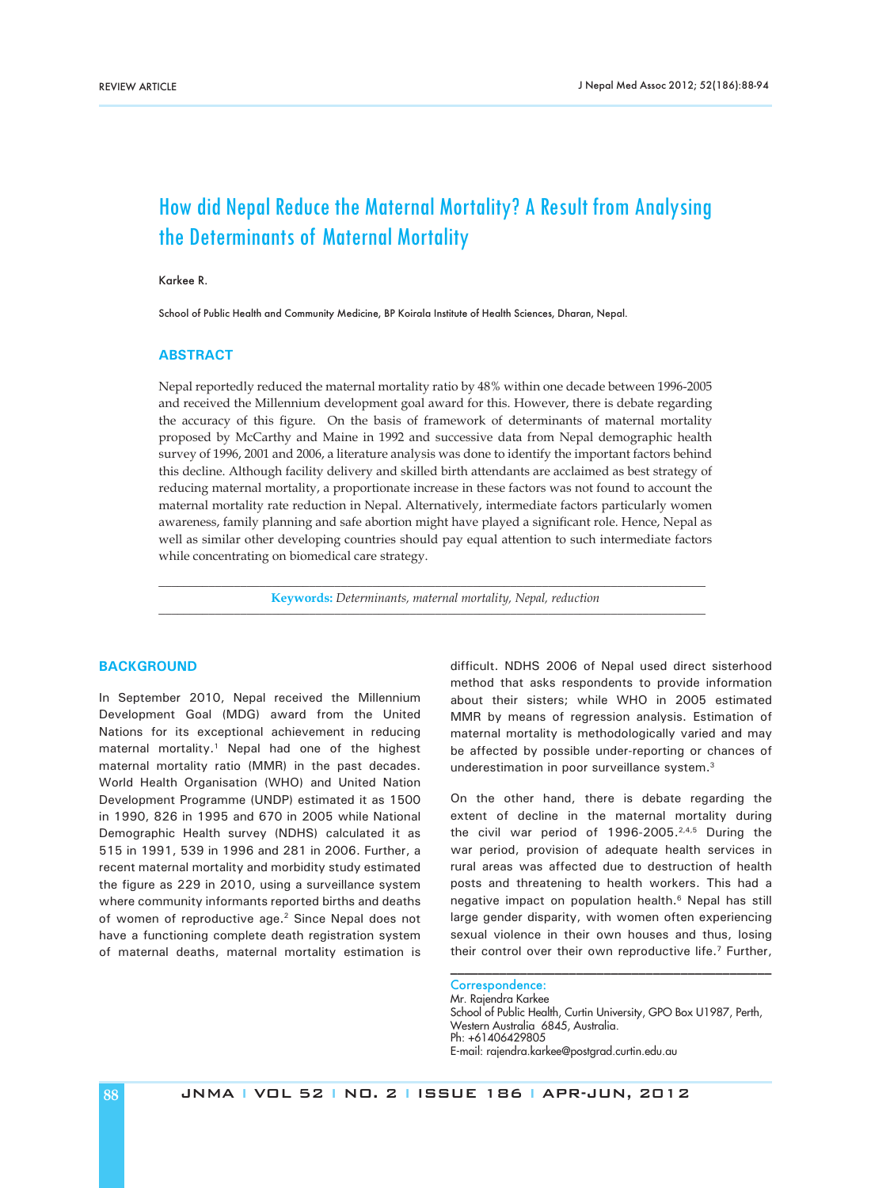# How did Nepal Reduce the Maternal Mortality? A Result from Analysing the Determinants of Maternal Mortality

# Karkee R.

School of Public Health and Community Medicine, BP Koirala Institute of Health Sciences, Dharan, Nepal.

## **ABSTRACT**

Nepal reportedly reduced the maternal mortality ratio by 48% within one decade between 1996-2005 and received the Millennium development goal award for this. However, there is debate regarding the accuracy of this figure. On the basis of framework of determinants of maternal mortality proposed by McCarthy and Maine in 1992 and successive data from Nepal demographic health survey of 1996, 2001 and 2006, a literature analysis was done to identify the important factors behind this decline. Although facility delivery and skilled birth attendants are acclaimed as best strategy of reducing maternal mortality, a proportionate increase in these factors was not found to account the maternal mortality rate reduction in Nepal. Alternatively, intermediate factors particularly women awareness, family planning and safe abortion might have played a significant role. Hence, Nepal as well as similar other developing countries should pay equal attention to such intermediate factors while concentrating on biomedical care strategy.

*\_\_\_\_\_\_\_\_\_\_\_\_\_\_\_\_\_\_\_\_\_\_\_\_\_\_\_\_\_\_\_\_\_\_\_\_\_\_\_\_\_\_\_\_\_\_\_\_\_\_\_\_\_\_\_\_\_\_\_\_\_\_\_\_\_\_\_\_\_\_\_\_\_\_\_\_\_\_\_\_\_\_\_\_\_\_\_* **Keywords:** *Determinants, maternal mortality, Nepal, reduction \_\_\_\_\_\_\_\_\_\_\_\_\_\_\_\_\_\_\_\_\_\_\_\_\_\_\_\_\_\_\_\_\_\_\_\_\_\_\_\_\_\_\_\_\_\_\_\_\_\_\_\_\_\_\_\_\_\_\_\_\_\_\_\_\_\_\_\_\_\_\_\_\_\_\_\_\_\_\_\_\_\_\_\_\_\_\_*

# **BACKGROUND**

In September 2010, Nepal received the Millennium Development Goal (MDG) award from the United Nations for its exceptional achievement in reducing maternal mortality.<sup>1</sup> Nepal had one of the highest maternal mortality ratio (MMR) in the past decades. World Health Organisation (WHO) and United Nation Development Programme (UNDP) estimated it as 1500 in 1990, 826 in 1995 and 670 in 2005 while National Demographic Health survey (NDHS) calculated it as 515 in 1991, 539 in 1996 and 281 in 2006. Further, a recent maternal mortality and morbidity study estimated the figure as 229 in 2010, using a surveillance system where community informants reported births and deaths of women of reproductive age.<sup>2</sup> Since Nepal does not have a functioning complete death registration system of maternal deaths, maternal mortality estimation is

difficult. NDHS 2006 of Nepal used direct sisterhood method that asks respondents to provide information about their sisters; while WHO in 2005 estimated MMR by means of regression analysis. Estimation of maternal mortality is methodologically varied and may be affected by possible under-reporting or chances of underestimation in poor surveillance system.<sup>3</sup>

On the other hand, there is debate regarding the extent of decline in the maternal mortality during the civil war period of 1996-2005.<sup>2,4,5</sup> During the war period, provision of adequate health services in rural areas was affected due to destruction of health posts and threatening to health workers. This had a negative impact on population health.<sup>6</sup> Nepal has still large gender disparity, with women often experiencing sexual violence in their own houses and thus, losing their control over their own reproductive life.<sup>7</sup> Further,

Correspondence: Mr. Rajendra Karkee School of Public Health, Curtin University, GPO Box U1987, Perth, Western Australia 6845, Australia. Ph: +61406429805 E-mail: rajendra.karkee@postgrad.curtin.edu.au

\_\_\_\_\_\_\_\_\_\_\_\_\_\_\_\_\_\_\_\_\_\_\_\_\_\_\_\_\_\_\_\_\_\_\_\_\_\_\_\_\_\_\_\_\_\_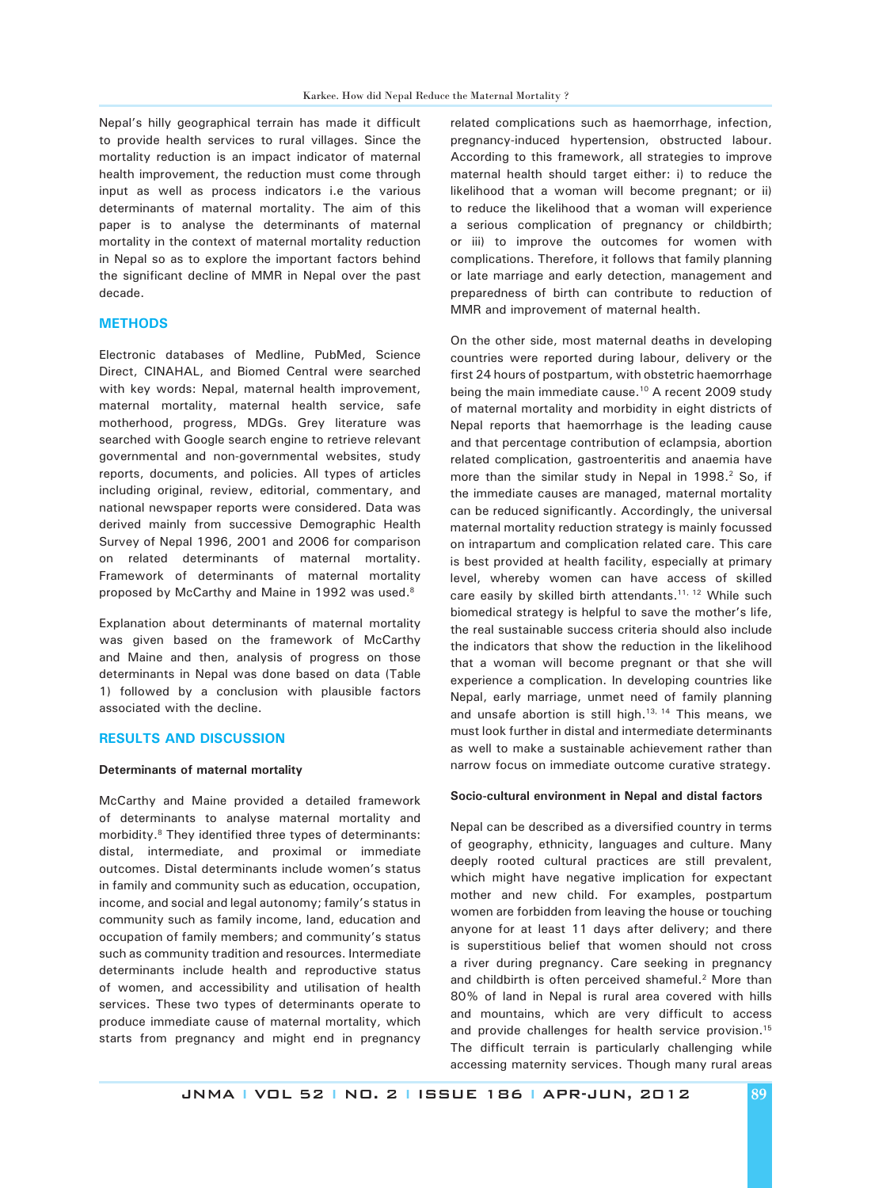Nepal's hilly geographical terrain has made it difficult to provide health services to rural villages. Since the mortality reduction is an impact indicator of maternal health improvement, the reduction must come through input as well as process indicators i.e the various determinants of maternal mortality. The aim of this paper is to analyse the determinants of maternal mortality in the context of maternal mortality reduction in Nepal so as to explore the important factors behind the significant decline of MMR in Nepal over the past decade.

## **METHODS**

Electronic databases of Medline, PubMed, Science Direct, CINAHAL, and Biomed Central were searched with key words: Nepal, maternal health improvement, maternal mortality, maternal health service, safe motherhood, progress, MDGs. Grey literature was searched with Google search engine to retrieve relevant governmental and non-governmental websites, study reports, documents, and policies. All types of articles including original, review, editorial, commentary, and national newspaper reports were considered. Data was derived mainly from successive Demographic Health Survey of Nepal 1996, 2001 and 2006 for comparison on related determinants of maternal mortality. Framework of determinants of maternal mortality proposed by McCarthy and Maine in 1992 was used.8

Explanation about determinants of maternal mortality was given based on the framework of McCarthy and Maine and then, analysis of progress on those determinants in Nepal was done based on data (Table 1) followed by a conclusion with plausible factors associated with the decline.

## **RESULTS AND DISCUSSION**

#### **Determinants of maternal mortality**

McCarthy and Maine provided a detailed framework of determinants to analyse maternal mortality and morbidity.<sup>8</sup> They identified three types of determinants: distal, intermediate, and proximal or immediate outcomes. Distal determinants include women's status in family and community such as education, occupation, income, and social and legal autonomy; family's status in community such as family income, land, education and occupation of family members; and community's status such as community tradition and resources. Intermediate determinants include health and reproductive status of women, and accessibility and utilisation of health services. These two types of determinants operate to produce immediate cause of maternal mortality, which starts from pregnancy and might end in pregnancy

related complications such as haemorrhage, infection, pregnancy-induced hypertension, obstructed labour. According to this framework, all strategies to improve maternal health should target either: i) to reduce the likelihood that a woman will become pregnant; or ii) to reduce the likelihood that a woman will experience a serious complication of pregnancy or childbirth; or iii) to improve the outcomes for women with complications. Therefore, it follows that family planning or late marriage and early detection, management and preparedness of birth can contribute to reduction of MMR and improvement of maternal health.

On the other side, most maternal deaths in developing countries were reported during labour, delivery or the first 24 hours of postpartum, with obstetric haemorrhage being the main immediate cause.<sup>10</sup> A recent 2009 study of maternal mortality and morbidity in eight districts of Nepal reports that haemorrhage is the leading cause and that percentage contribution of eclampsia, abortion related complication, gastroenteritis and anaemia have more than the similar study in Nepal in 1998.<sup>2</sup> So, if the immediate causes are managed, maternal mortality can be reduced significantly. Accordingly, the universal maternal mortality reduction strategy is mainly focussed on intrapartum and complication related care. This care is best provided at health facility, especially at primary level, whereby women can have access of skilled care easily by skilled birth attendants.<sup>11, 12</sup> While such biomedical strategy is helpful to save the mother's life, the real sustainable success criteria should also include the indicators that show the reduction in the likelihood that a woman will become pregnant or that she will experience a complication. In developing countries like Nepal, early marriage, unmet need of family planning and unsafe abortion is still high. $13, 14$  This means, we must look further in distal and intermediate determinants as well to make a sustainable achievement rather than narrow focus on immediate outcome curative strategy.

#### **Socio-cultural environment in Nepal and distal factors**

Nepal can be described as a diversified country in terms of geography, ethnicity, languages and culture. Many deeply rooted cultural practices are still prevalent, which might have negative implication for expectant mother and new child. For examples, postpartum women are forbidden from leaving the house or touching anyone for at least 11 days after delivery; and there is superstitious belief that women should not cross a river during pregnancy. Care seeking in pregnancy and childbirth is often perceived shameful.<sup>2</sup> More than 80% of land in Nepal is rural area covered with hills and mountains, which are very difficult to access and provide challenges for health service provision.<sup>15</sup> The difficult terrain is particularly challenging while accessing maternity services. Though many rural areas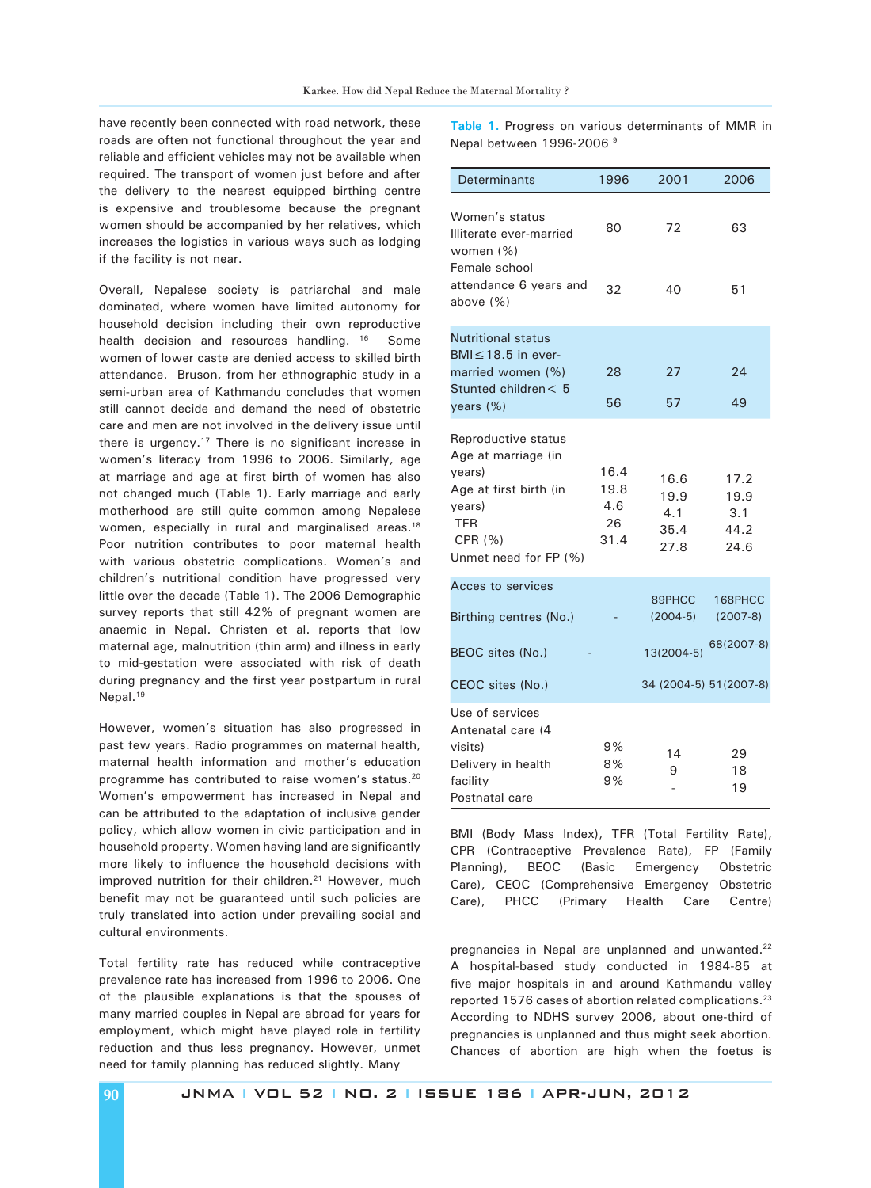have recently been connected with road network, these roads are often not functional throughout the year and reliable and efficient vehicles may not be available when required. The transport of women just before and after the delivery to the nearest equipped birthing centre is expensive and troublesome because the pregnant women should be accompanied by her relatives, which increases the logistics in various ways such as lodging if the facility is not near.

Overall, Nepalese society is patriarchal and male dominated, where women have limited autonomy for household decision including their own reproductive health decision and resources handling. <sup>16</sup> Some women of lower caste are denied access to skilled birth attendance. Bruson, from her ethnographic study in a semi-urban area of Kathmandu concludes that women still cannot decide and demand the need of obstetric care and men are not involved in the delivery issue until there is urgency.<sup>17</sup> There is no significant increase in women's literacy from 1996 to 2006. Similarly, age at marriage and age at first birth of women has also not changed much (Table 1). Early marriage and early motherhood are still quite common among Nepalese women, especially in rural and marginalised areas.<sup>18</sup> Poor nutrition contributes to poor maternal health with various obstetric complications. Women's and children's nutritional condition have progressed very little over the decade (Table 1). The 2006 Demographic survey reports that still 42% of pregnant women are anaemic in Nepal. Christen et al. reports that low maternal age, malnutrition (thin arm) and illness in early to mid-gestation were associated with risk of death during pregnancy and the first year postpartum in rural Nepal.<sup>19</sup>

However, women's situation has also progressed in past few years. Radio programmes on maternal health, maternal health information and mother's education programme has contributed to raise women's status.<sup>20</sup> Women's empowerment has increased in Nepal and can be attributed to the adaptation of inclusive gender policy, which allow women in civic participation and in household property. Women having land are significantly more likely to influence the household decisions with improved nutrition for their children.<sup>21</sup> However, much benefit may not be guaranteed until such policies are truly translated into action under prevailing social and cultural environments.

Total fertility rate has reduced while contraceptive prevalence rate has increased from 1996 to 2006. One of the plausible explanations is that the spouses of many married couples in Nepal are abroad for years for employment, which might have played role in fertility reduction and thus less pregnancy. However, unmet need for family planning has reduced slightly. Many

**Table 1.** Progress on various determinants of MMR in Nepal between 1996-2006 9

| Determinants                                                                                                                        | 1996                              | 2001                                | 2006                                |
|-------------------------------------------------------------------------------------------------------------------------------------|-----------------------------------|-------------------------------------|-------------------------------------|
| Women's status<br>Illiterate ever-married<br>women (%)                                                                              | 80                                | 72                                  | 63                                  |
| Female school<br>attendance 6 years and<br>above (%)                                                                                | 32                                | 40                                  | 51                                  |
| <b>Nutritional status</b>                                                                                                           |                                   |                                     |                                     |
| $BMI \leq 18.5$ in ever-<br>married women (%)<br>Stunted children< 5                                                                | 28                                | 27                                  | 24                                  |
| years (%)                                                                                                                           | 56                                | 57                                  | 49                                  |
| Reproductive status<br>Age at marriage (in<br>years)<br>Age at first birth (in<br>years)<br>TFR<br>CPR (%)<br>Unmet need for FP (%) | 16.4<br>19.8<br>4.6<br>26<br>31.4 | 16.6<br>19.9<br>4.1<br>35.4<br>27.8 | 17.2<br>19.9<br>3.1<br>44.2<br>24.6 |
| Acces to services<br>Birthing centres (No.)                                                                                         |                                   | 89PHCC<br>$(2004-5)$                | 168PHCC<br>$(2007-8)$               |
| BEOC sites (No.)                                                                                                                    |                                   | 13(2004-5)                          | 68(2007-8)                          |
| CEOC sites (No.)                                                                                                                    |                                   | 34 (2004-5) 51(2007-8)              |                                     |
| Use of services<br>Antenatal care (4<br>visits)<br>Delivery in health<br>facility<br>Postnatal care                                 | 9%<br>8%<br>9%                    | 14<br>9                             | 29<br>18<br>19                      |

BMI (Body Mass Index), TFR (Total Fertility Rate), CPR (Contraceptive Prevalence Rate), FP (Family Planning), BEOC (Basic Emergency Obstetric Care), CEOC (Comprehensive Emergency Obstetric Care), PHCC (Primary Health Care Centre)

pregnancies in Nepal are unplanned and unwanted.<sup>22</sup> A hospital-based study conducted in 1984-85 at five major hospitals in and around Kathmandu valley reported 1576 cases of abortion related complications.23 According to NDHS survey 2006, about one-third of pregnancies is unplanned and thus might seek abortion. Chances of abortion are high when the foetus is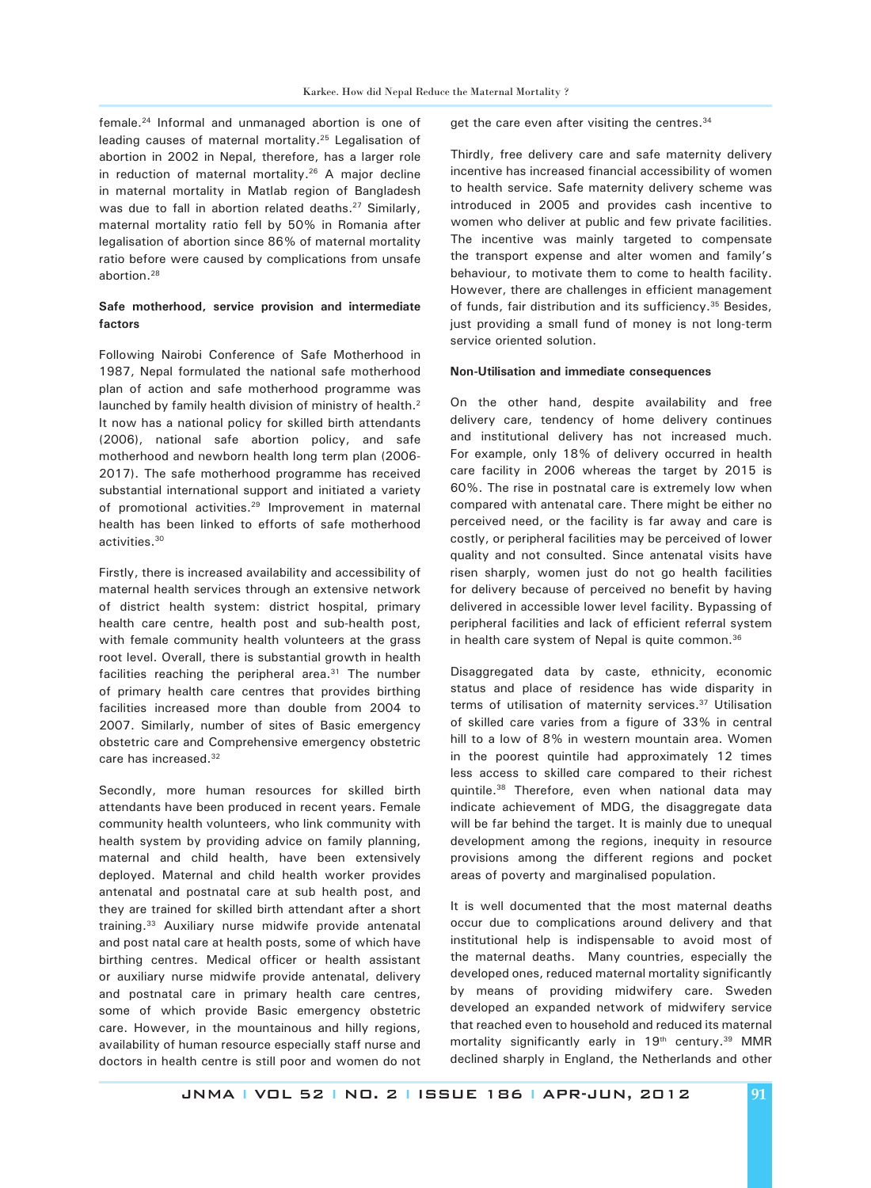female.24 Informal and unmanaged abortion is one of leading causes of maternal mortality.25 Legalisation of abortion in 2002 in Nepal, therefore, has a larger role in reduction of maternal mortality.<sup>26</sup> A major decline in maternal mortality in Matlab region of Bangladesh was due to fall in abortion related deaths.<sup>27</sup> Similarly, maternal mortality ratio fell by 50% in Romania after legalisation of abortion since 86% of maternal mortality ratio before were caused by complications from unsafe abortion.28

# **Safe motherhood, service provision and intermediate factors**

Following Nairobi Conference of Safe Motherhood in 1987, Nepal formulated the national safe motherhood plan of action and safe motherhood programme was launched by family health division of ministry of health.<sup>2</sup> It now has a national policy for skilled birth attendants (2006), national safe abortion policy, and safe motherhood and newborn health long term plan (2006- 2017). The safe motherhood programme has received substantial international support and initiated a variety of promotional activities.<sup>29</sup> Improvement in maternal health has been linked to efforts of safe motherhood activities.30

Firstly, there is increased availability and accessibility of maternal health services through an extensive network of district health system: district hospital, primary health care centre, health post and sub-health post, with female community health volunteers at the grass root level. Overall, there is substantial growth in health facilities reaching the peripheral area.<sup>31</sup> The number of primary health care centres that provides birthing facilities increased more than double from 2004 to 2007. Similarly, number of sites of Basic emergency obstetric care and Comprehensive emergency obstetric care has increased.32

Secondly, more human resources for skilled birth attendants have been produced in recent years. Female community health volunteers, who link community with health system by providing advice on family planning, maternal and child health, have been extensively deployed. Maternal and child health worker provides antenatal and postnatal care at sub health post, and they are trained for skilled birth attendant after a short training.33 Auxiliary nurse midwife provide antenatal and post natal care at health posts, some of which have birthing centres. Medical officer or health assistant or auxiliary nurse midwife provide antenatal, delivery and postnatal care in primary health care centres, some of which provide Basic emergency obstetric care. However, in the mountainous and hilly regions, availability of human resource especially staff nurse and doctors in health centre is still poor and women do not get the care even after visiting the centres.<sup>34</sup>

Thirdly, free delivery care and safe maternity delivery incentive has increased financial accessibility of women to health service. Safe maternity delivery scheme was introduced in 2005 and provides cash incentive to women who deliver at public and few private facilities. The incentive was mainly targeted to compensate the transport expense and alter women and family's behaviour, to motivate them to come to health facility. However, there are challenges in efficient management of funds, fair distribution and its sufficiency.<sup>35</sup> Besides, just providing a small fund of money is not long-term service oriented solution.

## **Non-Utilisation and immediate consequences**

On the other hand, despite availability and free delivery care, tendency of home delivery continues and institutional delivery has not increased much. For example, only 18% of delivery occurred in health care facility in 2006 whereas the target by 2015 is 60%. The rise in postnatal care is extremely low when compared with antenatal care. There might be either no perceived need, or the facility is far away and care is costly, or peripheral facilities may be perceived of lower quality and not consulted. Since antenatal visits have risen sharply, women just do not go health facilities for delivery because of perceived no benefit by having delivered in accessible lower level facility. Bypassing of peripheral facilities and lack of efficient referral system in health care system of Nepal is quite common.<sup>36</sup>

Disaggregated data by caste, ethnicity, economic status and place of residence has wide disparity in terms of utilisation of maternity services.<sup>37</sup> Utilisation of skilled care varies from a figure of 33% in central hill to a low of 8% in western mountain area. Women in the poorest quintile had approximately 12 times less access to skilled care compared to their richest quintile.38 Therefore, even when national data may indicate achievement of MDG, the disaggregate data will be far behind the target. It is mainly due to unequal development among the regions, inequity in resource provisions among the different regions and pocket areas of poverty and marginalised population.

It is well documented that the most maternal deaths occur due to complications around delivery and that institutional help is indispensable to avoid most of the maternal deaths. Many countries, especially the developed ones, reduced maternal mortality significantly by means of providing midwifery care. Sweden developed an expanded network of midwifery service that reached even to household and reduced its maternal mortality significantly early in  $19<sup>th</sup>$  century.<sup>39</sup> MMR declined sharply in England, the Netherlands and other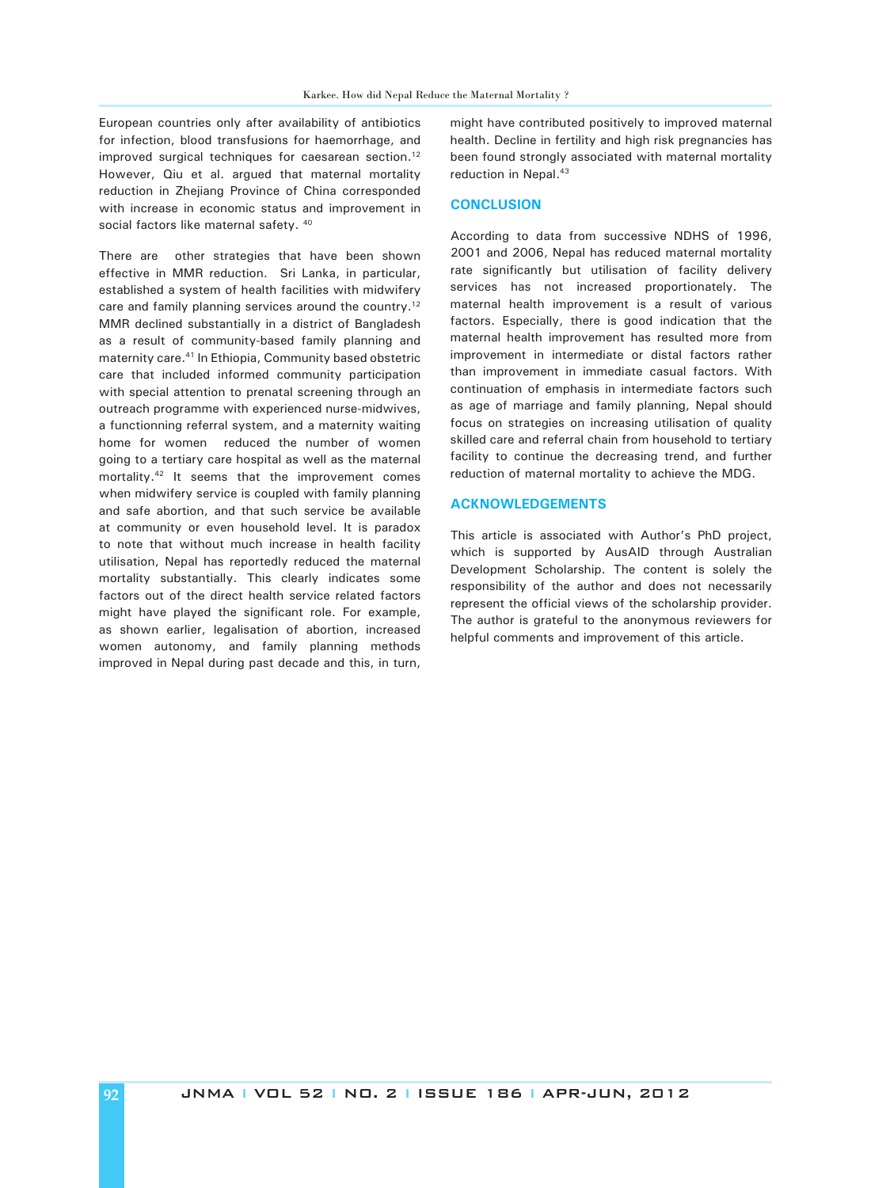European countries only after availability of antibiotics for infection, blood transfusions for haemorrhage, and improved surgical techniques for caesarean section.<sup>12</sup> However, Qiu et al. argued that maternal mortality reduction in Zhejiang Province of China corresponded with increase in economic status and improvement in social factors like maternal safety. <sup>40</sup>

There are other strategies that have been shown effective in MMR reduction. Sri Lanka, in particular, established a system of health facilities with midwifery care and family planning services around the country.<sup>12</sup> MMR declined substantially in a district of Bangladesh as a result of community-based family planning and maternity care.41 In Ethiopia, Community based obstetric care that included informed community participation with special attention to prenatal screening through an outreach programme with experienced nurse-midwives, a functionning referral system, and a maternity waiting home for women reduced the number of women going to a tertiary care hospital as well as the maternal mortality.42 It seems that the improvement comes when midwifery service is coupled with family planning and safe abortion, and that such service be available at community or even household level. It is paradox to note that without much increase in health facility utilisation, Nepal has reportedly reduced the maternal mortality substantially. This clearly indicates some factors out of the direct health service related factors might have played the significant role. For example, as shown earlier, legalisation of abortion, increased women autonomy, and family planning methods improved in Nepal during past decade and this, in turn,

might have contributed positively to improved maternal health. Decline in fertility and high risk pregnancies has been found strongly associated with maternal mortality reduction in Nepal.<sup>43</sup>

#### **CONCLUSION**

According to data from successive NDHS of 1996, 2001 and 2006, Nepal has reduced maternal mortality rate significantly but utilisation of facility delivery services has not increased proportionately. The maternal health improvement is a result of various factors. Especially, there is good indication that the maternal health improvement has resulted more from improvement in intermediate or distal factors rather than improvement in immediate casual factors. With continuation of emphasis in intermediate factors such as age of marriage and family planning, Nepal should focus on strategies on increasing utilisation of quality skilled care and referral chain from household to tertiary facility to continue the decreasing trend, and further reduction of maternal mortality to achieve the MDG.

### **ACKNOWLEDGEMENTS**

This article is associated with Author's PhD project, which is supported by AusAID through Australian Development Scholarship. The content is solely the responsibility of the author and does not necessarily represent the official views of the scholarship provider. The author is grateful to the anonymous reviewers for helpful comments and improvement of this article.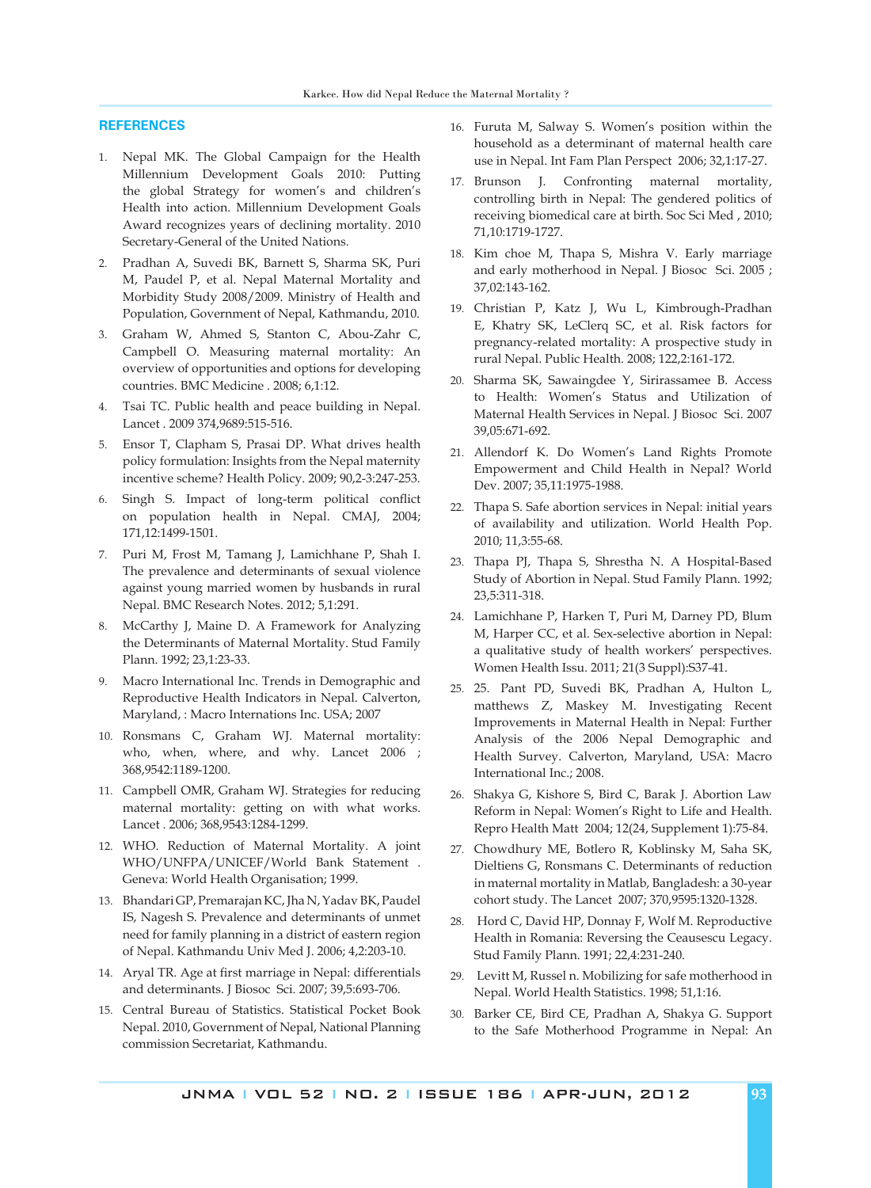# **REFERENCES**

- 1. Nepal MK. The Global Campaign for the Health Millennium Development Goals 2010: Putting the global Strategy for women's and children's Health into action. Millennium Development Goals Award recognizes years of declining mortality. 2010 Secretary-General of the United Nations.
- 2. Pradhan A, Suvedi BK, Barnett S, Sharma SK, Puri M, Paudel P, et al. Nepal Maternal Mortality and Morbidity Study 2008/2009. Ministry of Health and Population, Government of Nepal, Kathmandu, 2010.
- 3. Graham W, Ahmed S, Stanton C, Abou-Zahr C, Campbell O. Measuring maternal mortality: An overview of opportunities and options for developing countries. BMC Medicine . 2008; 6,1:12.
- 4. Tsai TC. Public health and peace building in Nepal. Lancet . 2009 374,9689:515-516.
- 5. Ensor T, Clapham S, Prasai DP. What drives health policy formulation: Insights from the Nepal maternity incentive scheme? Health Policy. 2009; 90,2-3:247-253.
- 6. Singh S. Impact of long-term political conflict on population health in Nepal. CMAJ, 2004; 171,12:1499-1501.
- 7. Puri M, Frost M, Tamang J, Lamichhane P, Shah I. The prevalence and determinants of sexual violence against young married women by husbands in rural Nepal. BMC Research Notes. 2012; 5,1:291.
- 8. McCarthy J, Maine D. A Framework for Analyzing the Determinants of Maternal Mortality. Stud Family Plann. 1992; 23,1:23-33.
- 9. Macro International Inc. Trends in Demographic and Reproductive Health Indicators in Nepal. Calverton, Maryland, : Macro Internations Inc. USA; 2007
- 10. Ronsmans C, Graham WJ. Maternal mortality: who, when, where, and why. Lancet 2006 ; 368,9542:1189-1200.
- 11. Campbell OMR, Graham WJ. Strategies for reducing maternal mortality: getting on with what works. Lancet . 2006; 368,9543:1284-1299.
- 12. WHO. Reduction of Maternal Mortality. A joint WHO/UNFPA/UNICEF/World Bank Statement . Geneva: World Health Organisation; 1999.
- 13. Bhandari GP, Premarajan KC, Jha N, Yadav BK, Paudel IS, Nagesh S. Prevalence and determinants of unmet need for family planning in a district of eastern region of Nepal. Kathmandu Univ Med J. 2006; 4,2:203-10.
- 14. Aryal TR. Age at first marriage in Nepal: differentials and determinants. J Biosoc Sci. 2007; 39,5:693-706.
- 15. Central Bureau of Statistics. Statistical Pocket Book Nepal. 2010, Government of Nepal, National Planning commission Secretariat, Kathmandu.
- 16. Furuta M, Salway S. Women's position within the household as a determinant of maternal health care use in Nepal. Int Fam Plan Perspect 2006; 32,1:17-27.
- 17. Brunson J. Confronting maternal mortality, controlling birth in Nepal: The gendered politics of receiving biomedical care at birth. Soc Sci Med , 2010; 71,10:1719-1727.
- 18. Kim choe M, Thapa S, Mishra V. Early marriage and early motherhood in Nepal. J Biosoc Sci. 2005 ; 37,02:143-162.
- 19. Christian P, Katz J, Wu L, Kimbrough-Pradhan E, Khatry SK, LeClerq SC, et al. Risk factors for pregnancy-related mortality: A prospective study in rural Nepal. Public Health. 2008; 122,2:161-172.
- 20. Sharma SK, Sawaingdee Y, Sirirassamee B. Access to Health: Women's Status and Utilization of Maternal Health Services in Nepal. J Biosoc Sci. 2007 39,05:671-692.
- 21. Allendorf K. Do Women's Land Rights Promote Empowerment and Child Health in Nepal? World Dev. 2007; 35,11:1975-1988.
- 22. Thapa S. Safe abortion services in Nepal: initial years of availability and utilization. World Health Pop. 2010; 11,3:55-68.
- 23. Thapa PJ, Thapa S, Shrestha N. A Hospital-Based Study of Abortion in Nepal. Stud Family Plann. 1992; 23,5:311-318.
- 24. Lamichhane P, Harken T, Puri M, Darney PD, Blum M, Harper CC, et al. Sex-selective abortion in Nepal: a qualitative study of health workers' perspectives. Women Health Issu. 2011; 21(3 Suppl):S37-41.
- 25. 25. Pant PD, Suvedi BK, Pradhan A, Hulton L, matthews Z, Maskey M. Investigating Recent Improvements in Maternal Health in Nepal: Further Analysis of the 2006 Nepal Demographic and Health Survey. Calverton, Maryland, USA: Macro International Inc.; 2008.
- 26. Shakya G, Kishore S, Bird C, Barak J. Abortion Law Reform in Nepal: Women's Right to Life and Health. Repro Health Matt 2004; 12(24, Supplement 1):75-84.
- 27. Chowdhury ME, Botlero R, Koblinsky M, Saha SK, Dieltiens G, Ronsmans C. Determinants of reduction in maternal mortality in Matlab, Bangladesh: a 30-year cohort study. The Lancet 2007; 370,9595:1320-1328.
- 28. Hord C, David HP, Donnay F, Wolf M. Reproductive Health in Romania: Reversing the Ceausescu Legacy. Stud Family Plann. 1991; 22,4:231-240.
- 29. Levitt M, Russel n. Mobilizing for safe motherhood in Nepal. World Health Statistics. 1998; 51,1:16.
- 30. Barker CE, Bird CE, Pradhan A, Shakya G. Support to the Safe Motherhood Programme in Nepal: An